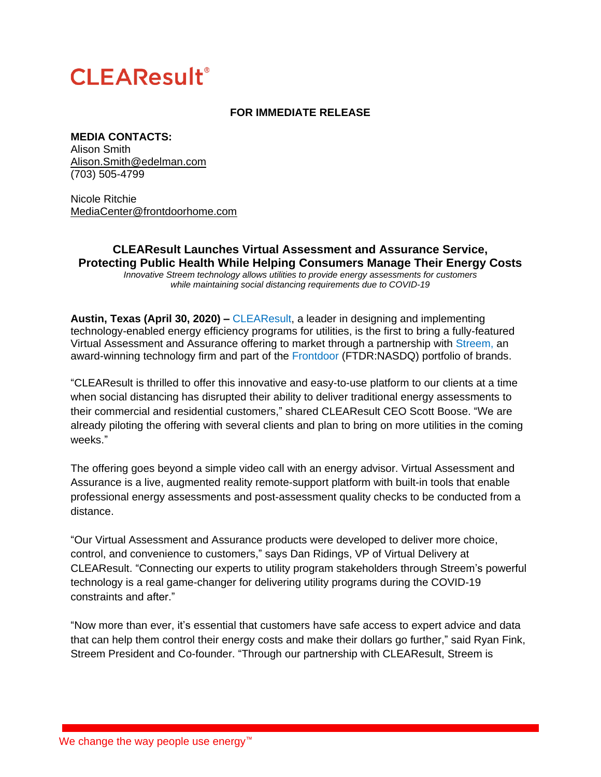# **CLEAResult®**

## **FOR IMMEDIATE RELEASE**

## **MEDIA CONTACTS:**

Alison Smith [Alison.Smith@edelman.com](mailto:Alison.Smith@edelman.com) (703) 505-4799

Nicole Ritchie [MediaCenter@frontdoorhome.com](mailto:MediaCenter@frontdoorhome.com)

# **CLEAResult Launches Virtual Assessment and Assurance Service, Protecting Public Health While Helping Consumers Manage Their Energy Costs**

*Innovative Streem technology allows utilities to provide energy assessments for customers while maintaining social distancing requirements due to COVID-19*

**Austin, Texas (April 30, 2020)** *–* [CLEAResult,](https://www.clearesult.com/) a leader in designing and implementing technology-enabled energy efficiency programs for utilities, is the first to bring a fully-featured Virtual Assessment and Assurance offering to market through a partnership with [Streem,](https://streem.pro/) an award-winning technology firm and part of the [Frontdoor](https://www.frontdoorhome.com/) (FTDR:NASDQ) portfolio of brands.

"CLEAResult is thrilled to offer this innovative and easy-to-use platform to our clients at a time when social distancing has disrupted their ability to deliver traditional energy assessments to their commercial and residential customers," shared CLEAResult CEO Scott Boose. "We are already piloting the offering with several clients and plan to bring on more utilities in the coming weeks."

The offering goes beyond a simple video call with an energy advisor. Virtual Assessment and Assurance is a live, augmented reality remote-support platform with built-in tools that enable professional energy assessments and post-assessment quality checks to be conducted from a distance.

"Our Virtual Assessment and Assurance products were developed to deliver more choice, control, and convenience to customers," says Dan Ridings, VP of Virtual Delivery at CLEAResult. "Connecting our experts to utility program stakeholders through Streem's powerful technology is a real game-changer for delivering utility programs during the COVID-19 constraints and after."

"Now more than ever, it's essential that customers have safe access to expert advice and data that can help them control their energy costs and make their dollars go further," said Ryan Fink, Streem President and Co-founder. "Through our partnership with CLEAResult, Streem is